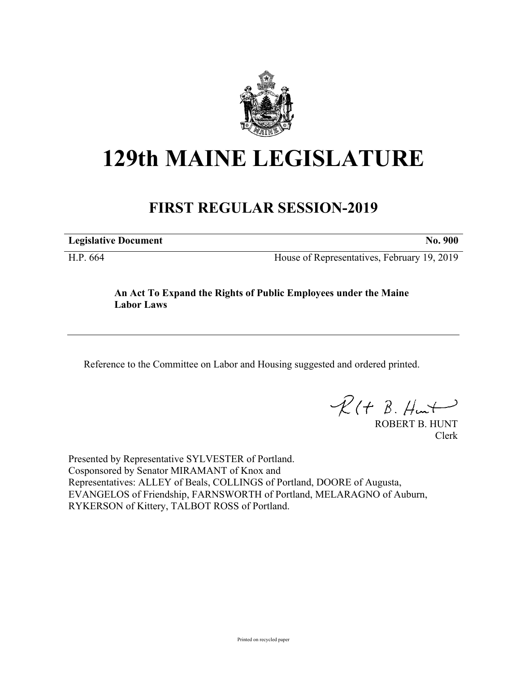

# **129th MAINE LEGISLATURE**

# **FIRST REGULAR SESSION-2019**

**Legislative Document No. 900**

H.P. 664 House of Representatives, February 19, 2019

## **An Act To Expand the Rights of Public Employees under the Maine Labor Laws**

Reference to the Committee on Labor and Housing suggested and ordered printed.

 $R(t B. Hmt)$ 

ROBERT B. HUNT Clerk

Presented by Representative SYLVESTER of Portland. Cosponsored by Senator MIRAMANT of Knox and Representatives: ALLEY of Beals, COLLINGS of Portland, DOORE of Augusta, EVANGELOS of Friendship, FARNSWORTH of Portland, MELARAGNO of Auburn, RYKERSON of Kittery, TALBOT ROSS of Portland.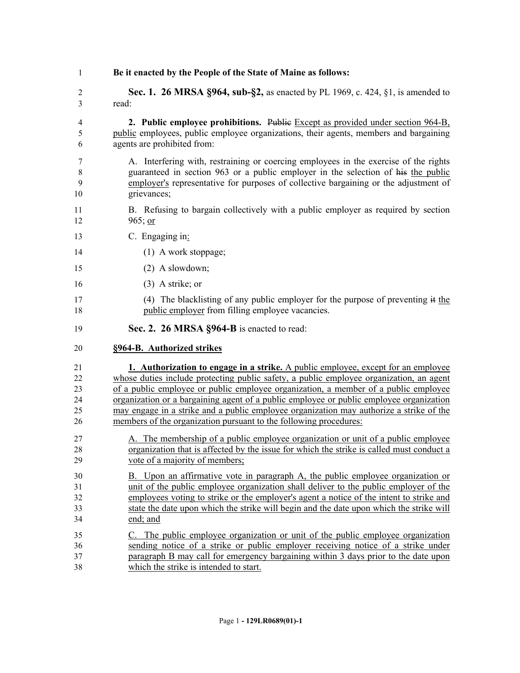**Be it enacted by the People of the State of Maine as follows: Sec. 1. 26 MRSA §964, sub-§2,** as enacted by PL 1969, c. 424, §1, is amended to read: **2. Public employee prohibitions.** Public Except as provided under section 964-B, public employees, public employee organizations, their agents, members and bargaining agents are prohibited from: A. Interfering with, restraining or coercing employees in the exercise of the rights guaranteed in section 963 or a public employer in the selection of his the public employer's representative for purposes of collective bargaining or the adjustment of grievances; B. Refusing to bargain collectively with a public employer as required by section 965; or C. Engaging in: (1) A work stoppage; (2) A slowdown; (3) A strike; or (4) The blacklisting of any public employer for the purpose of preventing it the public employer from filling employee vacancies. **Sec. 2. 26 MRSA §964-B** is enacted to read: **§964-B. Authorized strikes 1. Authorization to engage in a strike.** A public employee, except for an employee whose duties include protecting public safety, a public employee organization, an agent of a public employee or public employee organization, a member of a public employee organization or a bargaining agent of a public employee or public employee organization may engage in a strike and a public employee organization may authorize a strike of the members of the organization pursuant to the following procedures: A. The membership of a public employee organization or unit of a public employee organization that is affected by the issue for which the strike is called must conduct a vote of a majority of members; B. Upon an affirmative vote in paragraph A, the public employee organization or unit of the public employee organization shall deliver to the public employer of the employees voting to strike or the employer's agent a notice of the intent to strike and state the date upon which the strike will begin and the date upon which the strike will end; and C. The public employee organization or unit of the public employee organization sending notice of a strike or public employer receiving notice of a strike under paragraph B may call for emergency bargaining within 3 days prior to the date upon which the strike is intended to start.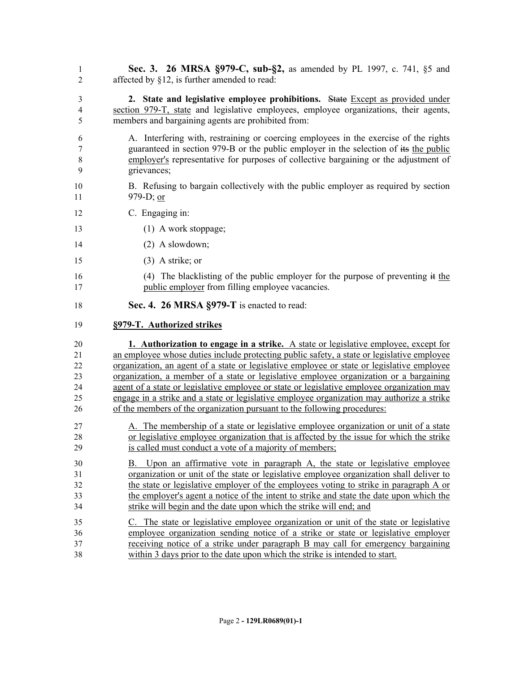- **Sec. 3. 26 MRSA §979-C, sub-§2,** as amended by PL 1997, c. 741, §5 and affected by §12, is further amended to read:
- **2. State and legislative employee prohibitions.** State Except as provided under section 979-T, state and legislative employees, employee organizations, their agents, members and bargaining agents are prohibited from:
- A. Interfering with, restraining or coercing employees in the exercise of the rights guaranteed in section 979-B or the public employer in the selection of its the public employer's representative for purposes of collective bargaining or the adjustment of grievances;
- B. Refusing to bargain collectively with the public employer as required by section 979-D; or
- C. Engaging in:
- 13 (1) A work stoppage;
- (2) A slowdown;
- (3) A strike; or
- (4) The blacklisting of the public employer for the purpose of preventing it the public employer from filling employee vacancies.
- **Sec. 4. 26 MRSA §979-T** is enacted to read:

#### **§979-T. Authorized strikes**

 **1. Authorization to engage in a strike.** A state or legislative employee, except for an employee whose duties include protecting public safety, a state or legislative employee organization, an agent of a state or legislative employee or state or legislative employee organization, a member of a state or legislative employee organization or a bargaining 24 agent of a state or legislative employee or state or legislative employee organization may engage in a strike and a state or legislative employee organization may authorize a strike of the members of the organization pursuant to the following procedures:

- A. The membership of a state or legislative employee organization or unit of a state or legislative employee organization that is affected by the issue for which the strike is called must conduct a vote of a majority of members;
- B. Upon an affirmative vote in paragraph A, the state or legislative employee organization or unit of the state or legislative employee organization shall deliver to the state or legislative employer of the employees voting to strike in paragraph A or the employer's agent a notice of the intent to strike and state the date upon which the strike will begin and the date upon which the strike will end; and
- C. The state or legislative employee organization or unit of the state or legislative employee organization sending notice of a strike or state or legislative employer receiving notice of a strike under paragraph B may call for emergency bargaining within 3 days prior to the date upon which the strike is intended to start.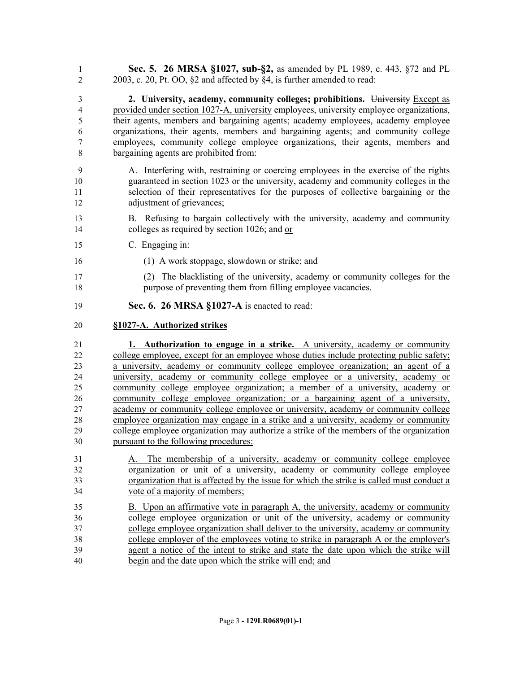**Sec. 5. 26 MRSA §1027, sub-§2,** as amended by PL 1989, c. 443, §72 and PL 2003, c. 20, Pt. OO, §2 and affected by §4, is further amended to read:

 **2. University, academy, community colleges; prohibitions.** University Except as provided under section 1027-A, university employees, university employee organizations, their agents, members and bargaining agents; academy employees, academy employee organizations, their agents, members and bargaining agents; and community college employees, community college employee organizations, their agents, members and bargaining agents are prohibited from:

- A. Interfering with, restraining or coercing employees in the exercise of the rights guaranteed in section 1023 or the university, academy and community colleges in the selection of their representatives for the purposes of collective bargaining or the adjustment of grievances;
- B. Refusing to bargain collectively with the university, academy and community 14 colleges as required by section 1026; and or
- C. Engaging in:
- (1) A work stoppage, slowdown or strike; and
- (2) The blacklisting of the university, academy or community colleges for the purpose of preventing them from filling employee vacancies.
- **Sec. 6. 26 MRSA §1027-A** is enacted to read:

### **§1027-A. Authorized strikes**

 **1. Authorization to engage in a strike.** A university, academy or community college employee, except for an employee whose duties include protecting public safety; a university, academy or community college employee organization; an agent of a university, academy or community college employee or a university, academy or community college employee organization; a member of a university, academy or community college employee organization; or a bargaining agent of a university, academy or community college employee or university, academy or community college employee organization may engage in a strike and a university, academy or community college employee organization may authorize a strike of the members of the organization pursuant to the following procedures:

- A. The membership of a university, academy or community college employee organization or unit of a university, academy or community college employee organization that is affected by the issue for which the strike is called must conduct a vote of a majority of members;
- B. Upon an affirmative vote in paragraph A, the university, academy or community college employee organization or unit of the university, academy or community college employee organization shall deliver to the university, academy or community college employer of the employees voting to strike in paragraph A or the employer's agent a notice of the intent to strike and state the date upon which the strike will begin and the date upon which the strike will end; and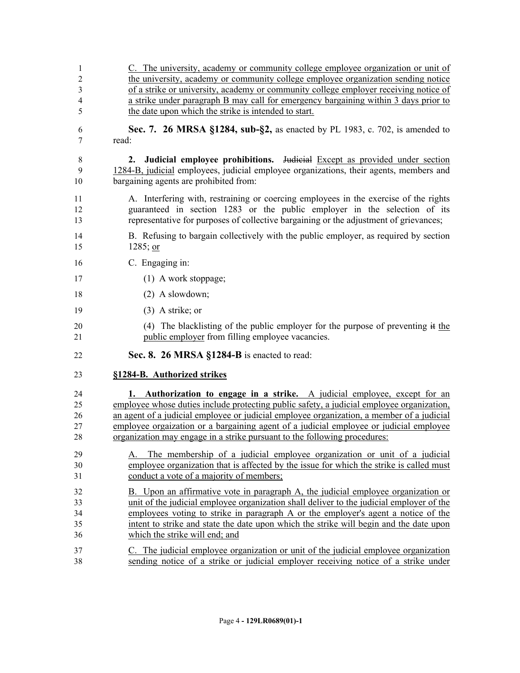| 1              | C. The university, academy or community college employee organization or unit of          |
|----------------|-------------------------------------------------------------------------------------------|
| $\overline{2}$ | the university, academy or community college employee organization sending notice         |
| 3              | of a strike or university, academy or community college employer receiving notice of      |
| 4              | a strike under paragraph B may call for emergency bargaining within 3 days prior to       |
| 5              | the date upon which the strike is intended to start.                                      |
| 6              | Sec. 7. 26 MRSA §1284, sub-§2, as enacted by PL 1983, c. 702, is amended to               |
| 7              | read:                                                                                     |
| 8              | 2. Judicial employee prohibitions. Judicial Except as provided under section              |
| 9              | 1284-B, judicial employees, judicial employee organizations, their agents, members and    |
| 10             | bargaining agents are prohibited from:                                                    |
| 11             | A. Interfering with, restraining or coercing employees in the exercise of the rights      |
| 12             | guaranteed in section 1283 or the public employer in the selection of its                 |
| 13             | representative for purposes of collective bargaining or the adjustment of grievances;     |
| 14             | B. Refusing to bargain collectively with the public employer, as required by section      |
| 15             | $1285$ ; or                                                                               |
| 16             | C. Engaging in:                                                                           |
| 17             | $(1)$ A work stoppage;                                                                    |
| 18             | $(2)$ A slowdown;                                                                         |
| 19             | $(3)$ A strike; or                                                                        |
| 20             | (4) The blacklisting of the public employer for the purpose of preventing it the          |
| 21             | public employer from filling employee vacancies.                                          |
| 22             | Sec. 8. 26 MRSA §1284-B is enacted to read:                                               |
| 23             | §1284-B. Authorized strikes                                                               |
| 24             | 1. Authorization to engage in a strike. A judicial employee, except for an                |
| 25             | employee whose duties include protecting public safety, a judicial employee organization, |
| 26             | an agent of a judicial employee or judicial employee organization, a member of a judicial |
| 27             | employee orgaization or a bargaining agent of a judicial employee or judicial employee    |
| 28             | organization may engage in a strike pursuant to the following procedures:                 |
| 29             | A. The membership of a judicial employee organization or unit of a judicial               |
| 30             | employee organization that is affected by the issue for which the strike is called must   |
| 31             | conduct a vote of a majority of members;                                                  |
| 32             | B. Upon an affirmative vote in paragraph A, the judicial employee organization or         |
| 33             | unit of the judicial employee organization shall deliver to the judicial employer of the  |
| 34             | employees voting to strike in paragraph A or the employer's agent a notice of the         |
| 35             | intent to strike and state the date upon which the strike will begin and the date upon    |
| 36             | which the strike will end; and                                                            |
| 37             | C. The judicial employee organization or unit of the judicial employee organization       |
| 38             | sending notice of a strike or judicial employer receiving notice of a strike under        |